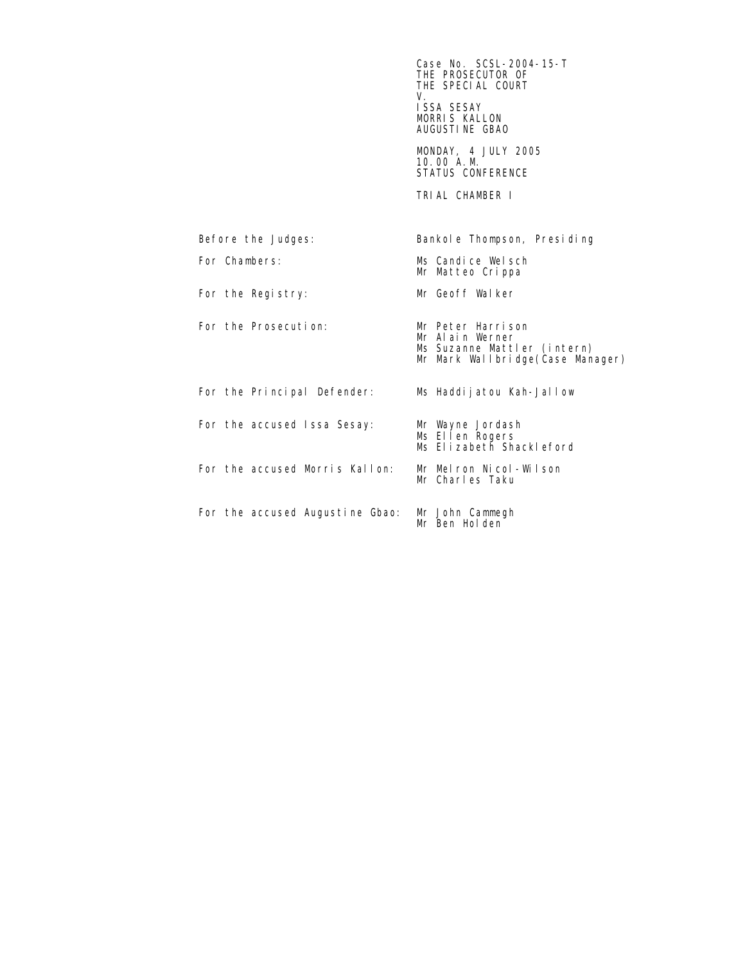$\sim$  Case No. SCSL-2004-15-T THE PROSECUTOR OF THE SPECIAL COURT<br>V. V. ISSA SESAY MORRIS KALLON AUGUSTINE GBAO MONDAY, 4 JULY 2005 10.00 A.M. **STATUS CONFERENCE**  TRIAL CHAMBER I Before the Judges: Bankole Thompson, Presiding For Chambers: Ms Candice Welsch Mr Matteo Crippa For the Registry: Mr Geoff Walker For the Prosecution: Mr Peter Harrison Mr Alain Werner Ms Suzanne Mattler (intern) Mr Mark Wallbridge(Case Manager) For the Principal Defender: Ms Haddijatou Kah-Jallow For the accused Issa Sesay: Ms Ellen Rogers Ms Elizabeth Shackleford For the accused Morris Kallon: Mr Melron Nicol-Wilson Mr Charles Taku For the accused Augustine Gbao: Mr John Cammegh Mr Ben Holden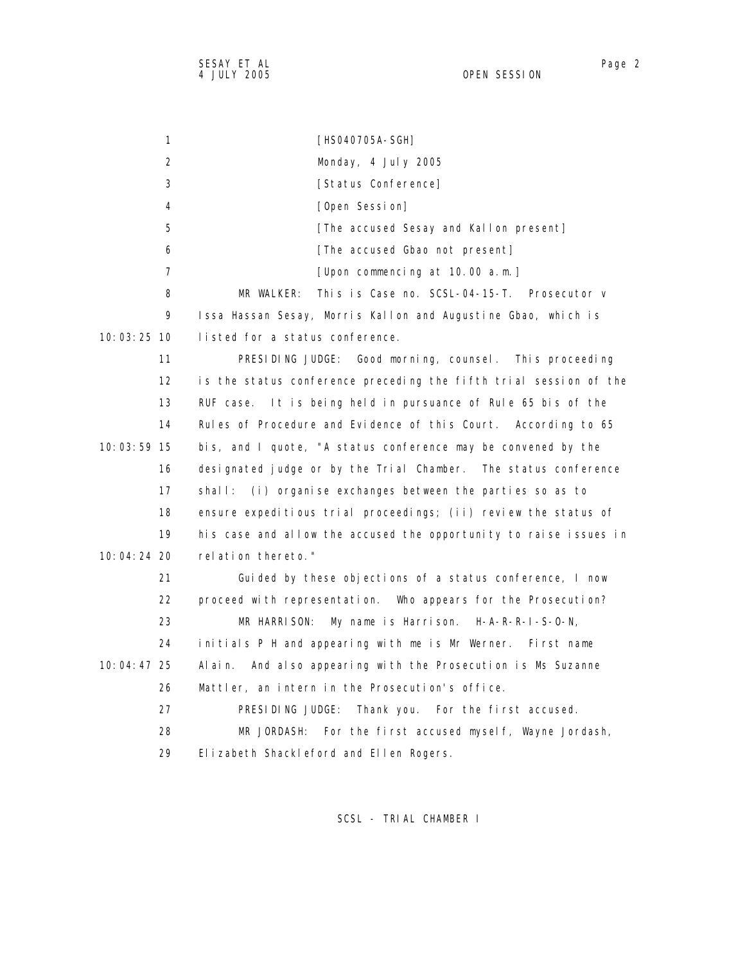1 [HS040705A-SGH] 2 Monday, 4 July 2005 3 [Status Conference] 4 [Open Session] 5 **[The accused Sesay and Kallon present]**  6 [The accused Gbao not present] 7 [Upon commencing at 10.00 a.m.] 8 MR WALKER: This is Case no. SCSL-04-15-T. Prosecutor v 9 Issa Hassan Sesay, Morris Kallon and Augustine Gbao, which is 10:03:25 10 listed for a status conference. 11 PRESIDING JUDGE: Good morning, counsel. This proceeding 12 is the status conference preceding the fifth trial session of the 13 RUF case. It is being held in pursuance of Rule 65 bis of the 14 Rules of Procedure and Evidence of this Court. According to 65 10:03:59 15 bis, and I quote, "A status conference may be convened by the 16 designated judge or by the Trial Chamber. The status conference 17 shall: (i) organise exchanges between the parties so as to 18 ensure expeditious trial proceedings; (ii) review the status of 19 his case and allow the accused the opportunity to raise issues in 10:04:24 20 relation thereto." 21 Guided by these objections of a status conference, I now 22 proceed with representation. Who appears for the Prosecution? 23 MR HARRISON: My name is Harrison. H-A-R-R-I-S-O-N, 24 initials P H and appearing with me is Mr Werner. First name 10:04:47 25 Alain. And also appearing with the Prosecution is Ms Suzanne 26 Mattler, an intern in the Prosecution's office. 27 PRESIDING JUDGE: Thank you. For the first accused. 28 MR JORDASH: For the first accused myself, Wayne Jordash, 29 Elizabeth Shackleford and Ellen Rogers.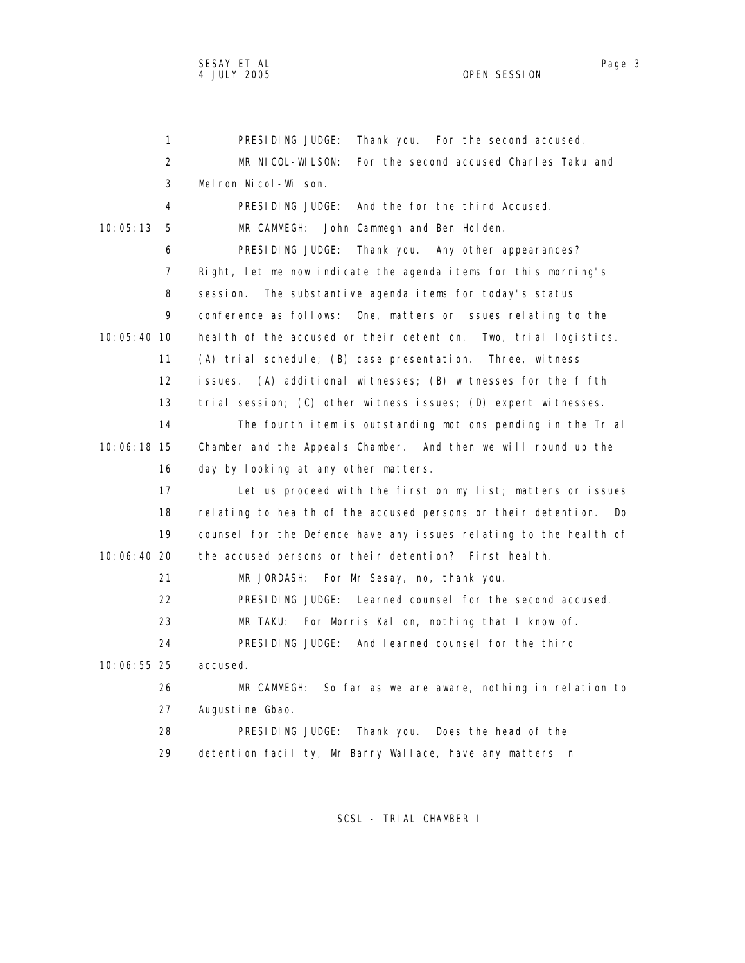1 PRESIDING JUDGE: Thank you. For the second accused. 2 MR NICOL-WILSON: For the second accused Charles Taku and 3 Melron Nicol-Wilson. 4 PRESIDING JUDGE: And the for the third Accused. 10:05:13 5 MR CAMMEGH: John Cammegh and Ben Holden. 6 PRESIDING JUDGE: Thank you. Any other appearances? 7 Right, let me now indicate the agenda items for this morning's 8 session. The substantive agenda items for today's status 9 conference as follows: One, matters or issues relating to the 10:05:40 10 health of the accused or their detention. Two, trial logistics. 11 (A) trial schedule; (B) case presentation. Three, witness 12 issues. (A) additional witnesses; (B) witnesses for the fifth 13 trial session; (C) other witness issues; (D) expert witnesses. 14 The fourth item is outstanding motions pending in the Trial 10:06:18 15 Chamber and the Appeals Chamber. And then we will round up the 16 day by looking at any other matters. 17 Let us proceed with the first on my list; matters or issues 18 relating to health of the accused persons or their detention. Do 19 counsel for the Defence have any issues relating to the health of 10:06:40 20 the accused persons or their detention? First health. 21 MR JORDASH: For Mr Sesay, no, thank you. 22 PRESIDING JUDGE: Learned counsel for the second accused. 23 MR TAKU: For Morris Kallon, nothing that I know of. 24 PRESIDING JUDGE: And learned counsel for the third 10:06:55 25 accused. 26 MR CAMMEGH: So far as we are aware, nothing in relation to 27 Augustine Gbao. 28 PRESIDING JUDGE: Thank you. Does the head of the 29 detention facility, Mr Barry Wallace, have any matters in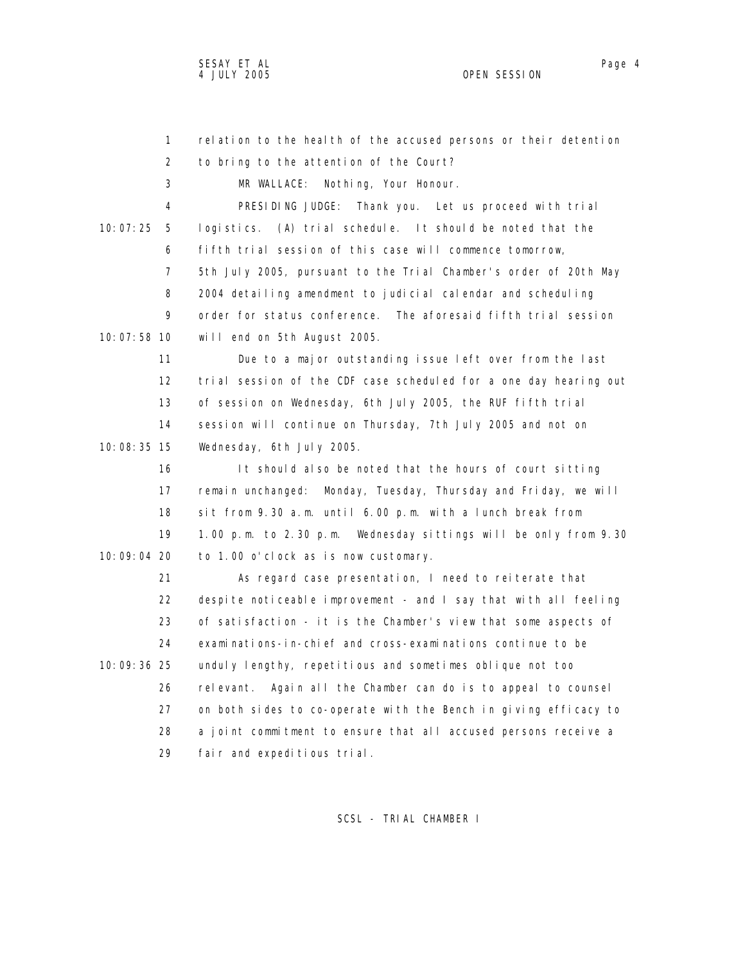1 relation to the health of the accused persons or their detention 2 to bring to the attention of the Court? 3 MR WALLACE: Nothing, Your Honour. 4 PRESIDING JUDGE: Thank you. Let us proceed with trial 10:07:25 5 logistics. (A) trial schedule. It should be noted that the 6 fifth trial session of this case will commence tomorrow, 7 5th July 2005, pursuant to the Trial Chamber's order of 20th May 8 2004 detailing amendment to judicial calendar and scheduling 9 order for status conference. The aforesaid fifth trial session 10:07:58 10 will end on 5th August 2005. 11 Due to a major outstanding issue left over from the last 12 trial session of the CDF case scheduled for a one day hearing out 13 of session on Wednesday, 6th July 2005, the RUF fifth trial 14 session will continue on Thursday, 7th July 2005 and not on 10:08:35 15 Wednesday, 6th July 2005. 16 It should also be noted that the hours of court sitting 17 remain unchanged: Monday, Tuesday, Thursday and Friday, we will 18 sit from 9.30 a.m. until 6.00 p.m. with a lunch break from 19 1.00 p.m. to 2.30 p.m. Wednesday sittings will be only from 9.30 10:09:04 20 to 1.00 o'clock as is now customary. 21 As regard case presentation, I need to reiterate that 22 despite noticeable improvement - and I say that with all feeling 23 of satisfaction - it is the Chamber's view that some aspects of 24 examinations-in-chief and cross-examinations continue to be 10:09:36 25 unduly lengthy, repetitious and sometimes oblique not too 26 relevant. Again all the Chamber can do is to appeal to counsel 27 on both sides to co-operate with the Bench in giving efficacy to 28 a joint commitment to ensure that all accused persons receive a 29 fair and expeditious trial.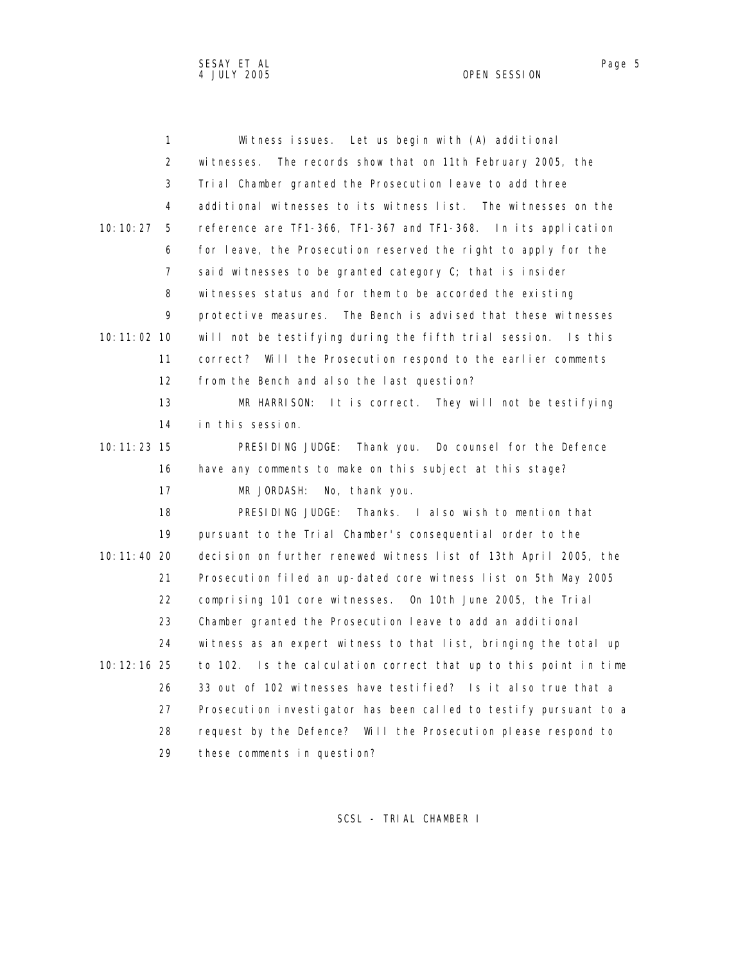| 1                 | Witness issues. Let us begin with (A) additional                  |
|-------------------|-------------------------------------------------------------------|
| 2                 | The records show that on 11th February 2005, the<br>witnesses.    |
| 3                 | Trial Chamber granted the Prosecution leave to add three          |
| 4                 | additional witnesses to its witness list. The witnesses on the    |
| 10:10:27<br>5     | reference are TF1-366, TF1-367 and TF1-368. In its application    |
| 6                 | for leave, the Prosecution reserved the right to apply for the    |
| $\overline{7}$    | said witnesses to be granted category C; that is insider          |
| 8                 | witnesses status and for them to be accorded the existing         |
| 9                 | protective measures. The Bench is advised that these witnesses    |
| 10:11:02 10       | will not be testifying during the fifth trial session. Is this    |
| 11                | correct? Will the Prosecution respond to the earlier comments     |
| $12 \overline{ }$ | from the Bench and also the last question?                        |
| 13                | MR HARRISON:<br>It is correct. They will not be testifying        |
| 14                | in this session.                                                  |
| 10: 11: 23 15     | PRESIDING JUDGE: Thank you. Do counsel for the Defence            |
| 16                | have any comments to make on this subject at this stage?          |
| 17                | No, thank you.<br>MR JORDASH:                                     |
| 18                | PRESIDING JUDGE:<br>Thanks. I also wish to mention that           |
| 19                | pursuant to the Trial Chamber's consequential order to the        |
| 10:11:40 20       | decision on further renewed witness list of 13th April 2005, the  |
| 21                | Prosecution filed an up-dated core witness list on 5th May 2005   |
| 22                | comprising 101 core witnesses. On 10th June 2005, the Trial       |
| 23                | Chamber granted the Prosecution leave to add an additional        |
| 24                | witness as an expert witness to that list, bringing the total up  |
| 10: 12: 16 25     | to 102. Is the calculation correct that up to this point in time  |
| 26                | 33 out of 102 witnesses have testified? Is it also true that a    |
| 27                | Prosecution investigator has been called to testify pursuant to a |
| 28                | request by the Defence? Will the Prosecution please respond to    |
| 29                | these comments in question?                                       |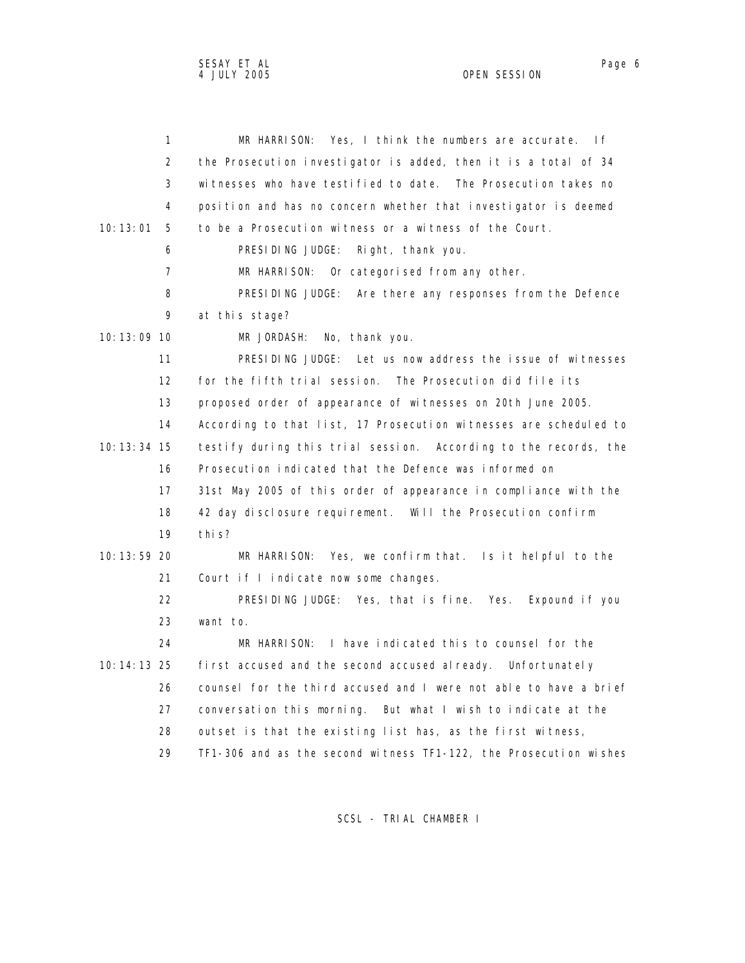| 1              | MR HARRISON: Yes, I think the numbers are accurate.<br>If.        |
|----------------|-------------------------------------------------------------------|
| 2              | the Prosecution investigator is added, then it is a total of 34   |
| 3              | witnesses who have testified to date. The Prosecution takes no    |
| 4              | position and has no concern whether that investigator is deemed   |
| 10:13:01<br>5  | to be a Prosecution witness or a witness of the Court.            |
| 6              | PRESIDING JUDGE:<br>Right, thank you.                             |
| $\overline{7}$ | MR HARRISON:<br>Or categorised from any other.                    |
| 8              | PRESIDING JUDGE: Are there any responses from the Defence         |
| 9              | at this stage?                                                    |
| 10:13:09 10    | No, thank you.<br>MR JORDASH:                                     |
| 11             | PRESIDING JUDGE: Let us now address the issue of witnesses        |
| 12             | for the fifth trial session. The Prosecution did file its         |
| 13             | proposed order of appearance of witnesses on 20th June 2005.      |
| 14             | According to that list, 17 Prosecution witnesses are scheduled to |
| 10: 13: 34 15  | testify during this trial session. According to the records, the  |
| 16             | Prosecution indicated that the Defence was informed on            |
| 17             | 31st May 2005 of this order of appearance in compliance with the  |
| 18             | 42 day disclosure requirement. Will the Prosecution confirm       |
| 19             | thi s?                                                            |
| 10: 13: 59 20  | MR HARRISON: Yes, we confirm that. Is it helpful to the           |
| 21             | Court if I indicate now some changes.                             |
| 22             | PRESIDING JUDGE: Yes, that is fine. Yes.<br>Expound if you        |
| 23             | want to.                                                          |
| 24             | I have indicated this to counsel for the<br>MR HARRISON:          |
| 10: 14: 13 25  | first accused and the second accused al ready. Unfortunately      |
| 26             | counsel for the third accused and I were not able to have a brief |
| 27             | conversation this morning. But what I wish to indicate at the     |
| 28             | outset is that the existing list has, as the first witness,       |
| 29             | TF1-306 and as the second witness TF1-122, the Prosecution wishes |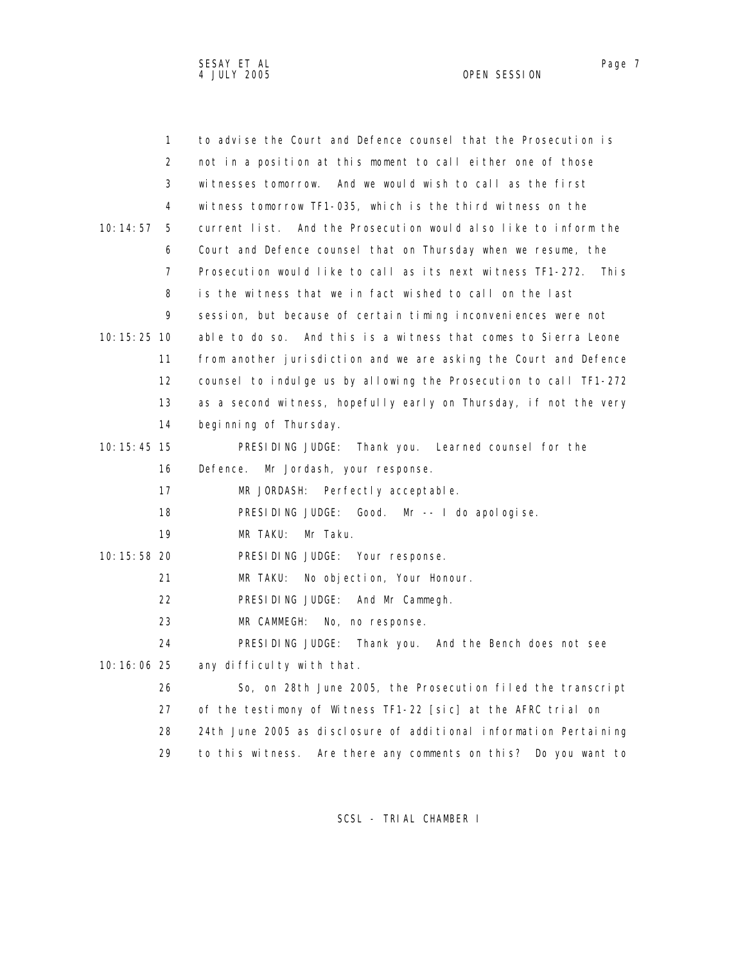| $\mathbf{1}$  | to advise the Court and Defence counsel that the Prosecution is      |
|---------------|----------------------------------------------------------------------|
| 2             | not in a position at this moment to call either one of those         |
| 3             | witnesses tomorrow. And we would wish to call as the first           |
| 4             | witness tomorrow TF1-035, which is the third witness on the          |
| 10:14:57<br>5 | current list. And the Prosecution would also like to inform the      |
| 6             | Court and Defence counsel that on Thursday when we resume, the       |
| 7             | Prosecution would like to call as its next witness TF1-272.<br>Thi s |
| 8             | is the witness that we in fact wished to call on the last            |
| 9             | session, but because of certain timing inconveniences were not       |
| 10: 15: 25 10 | able to do so. And this is a witness that comes to Sierra Leone      |
| 11            | from another jurisdiction and we are asking the Court and Defence    |
| 12            | counsel to indulge us by allowing the Prosecution to call TF1-272    |
| 13            | as a second witness, hopefully early on Thursday, if not the very    |
| 14            | beginning of Thursday.                                               |
| 10: 15: 45 15 | PRESIDING JUDGE: Thank you. Learned counsel for the                  |
| 16            | Defence. Mr Jordash, your response.                                  |
| 17            | MR JORDASH:<br>Perfectly acceptable.                                 |
| 18            | PRESIDING JUDGE: Good. Mr -- I do apologise.                         |
| 19            | MR TAKU:<br>Mr Taku.                                                 |
| $10:15:58$ 20 | PRESIDING JUDGE: Your response.                                      |
| 21            | MR TAKU:<br>No objection, Your Honour.                               |
| 22            | PRESIDING JUDGE: And Mr Cammegh.                                     |
| 23            | MR CAMMEGH:<br>No, no response.                                      |
| 24            | PRESIDING JUDGE: Thank you. And the Bench does not see               |
| 10:16:06 25   | any difficulty with that.                                            |
| 26            | So, on 28th June 2005, the Prosecution filed the transcript          |
| 27            | of the testimony of Witness TF1-22 [sic] at the AFRC trial on        |
| 28            | 24th June 2005 as disclosure of additional information Pertaining    |

29 to this witness. Are there any comments on this? Do you want to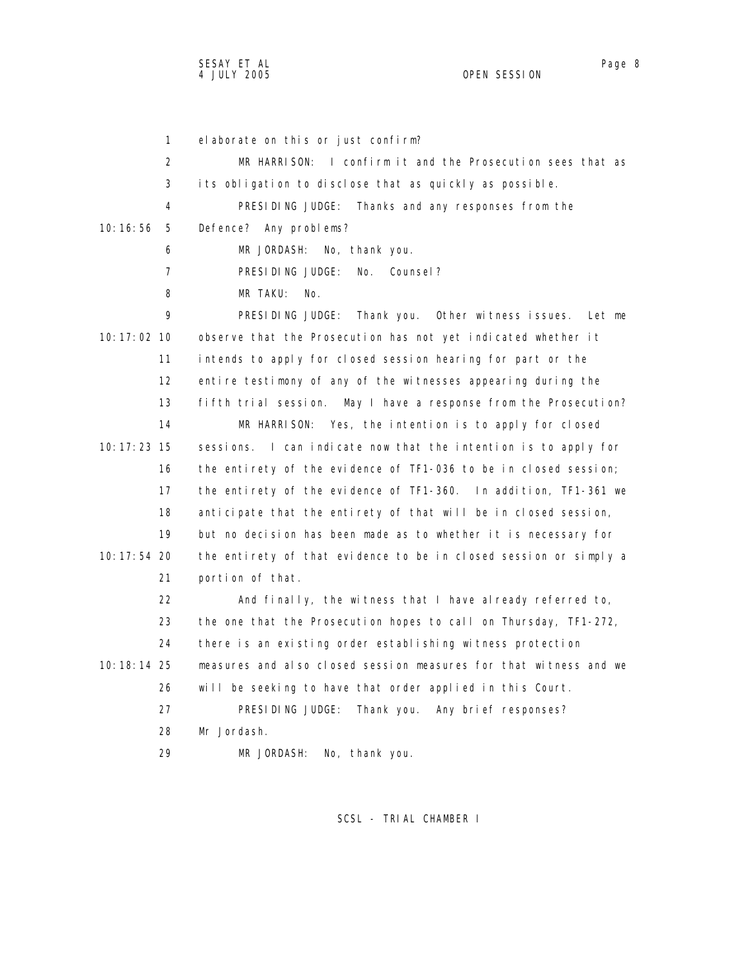1 elaborate on this or just confirm? 2 MR HARRISON: I confirm it and the Prosecution sees that as 3 its obligation to disclose that as quickly as possible. 4 PRESIDING JUDGE: Thanks and any responses from the 10:16:56 5 Defence? Any problems? 6 MR JORDASH: No, thank you. 7 PRESIDING JUDGE: No. Counsel? 8 MR TAKU: No. 9 PRESIDING JUDGE: Thank you. Other witness issues. Let me 10:17:02 10 observe that the Prosecution has not yet indicated whether it 11 intends to apply for closed session hearing for part or the 12 entire testimony of any of the witnesses appearing during the 13 fifth trial session. May I have a response from the Prosecution? 14 MR HARRISON: Yes, the intention is to apply for closed 10:17:23 15 sessions. I can indicate now that the intention is to apply for 16 the entirety of the evidence of TF1-036 to be in closed session; 17 the entirety of the evidence of TF1-360. In addition, TF1-361 we 18 anticipate that the entirety of that will be in closed session, 19 but no decision has been made as to whether it is necessary for 10:17:54 20 the entirety of that evidence to be in closed session or simply a 21 portion of that. 22 And finally, the witness that I have already referred to, 23 the one that the Prosecution hopes to call on Thursday, TF1-272, 24 there is an existing order establishing witness protection 10:18:14 25 measures and also closed session measures for that witness and we 26 will be seeking to have that order applied in this Court. 27 PRESIDING JUDGE: Thank you. Any brief responses? 28 Mr Jordash. 29 MR JORDASH: No, thank you.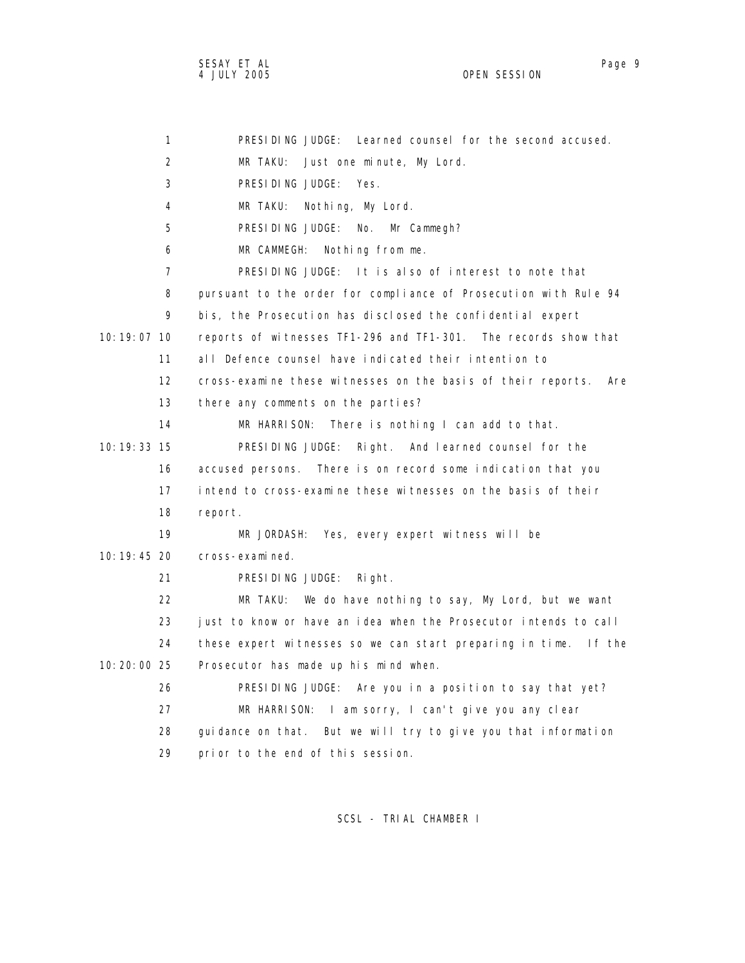| 1                 | PRESIDING JUDGE: Learned counsel for the second accused.            |
|-------------------|---------------------------------------------------------------------|
| 2                 | MR TAKU:<br>Just one minute, My Lord.                               |
| 3                 | PRESIDING JUDGE: Yes.                                               |
| 4                 | MR TAKU: Nothing, My Lord.                                          |
| 5                 | PRESIDING JUDGE: No.<br>Mr Cammegh?                                 |
| 6                 | MR CAMMEGH:<br>Nothing from me.                                     |
| $\overline{7}$    | PRESIDING JUDGE: It is also of interest to note that                |
| 8                 | pursuant to the order for compliance of Prosecution with Rule 94    |
| 9                 | bis, the Prosecution has disclosed the confidential expert          |
| 10: 19: 07 10     | reports of witnesses TF1-296 and TF1-301. The records show that     |
| 11                | all Defence counsel have indicated their intention to               |
| $12 \overline{ }$ | cross-examine these witnesses on the basis of their reports.<br>Are |
| 13                | there any comments on the parties?                                  |
| 14                | MR HARRISON:<br>There is nothing I can add to that.                 |
| 10: 19: 33 15     | PRESIDING JUDGE: Right. And learned counsel for the                 |
| 16                | accused persons. There is on record some indication that you        |
| 17                | intend to cross-examine these witnesses on the basis of their       |
| 18                | report.                                                             |
| 19                | MR JORDASH: Yes, every expert witness will be                       |
| 10: 19: 45 20     | cross-examined.                                                     |
| 21                | PRESIDING JUDGE:<br>Right.                                          |
| 22                | MR TAKU: We do have nothing to say, My Lord, but we want            |
| 23                | just to know or have an idea when the Prosecutor intends to call    |
| 24                | these expert witnesses so we can start preparing in time.<br>lf the |
| 10:20:00 25       | Prosecutor has made up his mind when.                               |
| 26                | PRESIDING JUDGE: Are you in a position to say that yet?             |
| 27                | MR HARRISON: I am sorry, I can't give you any clear                 |
| 28                | guidance on that. But we will try to give you that information      |
| 29                | prior to the end of this session.                                   |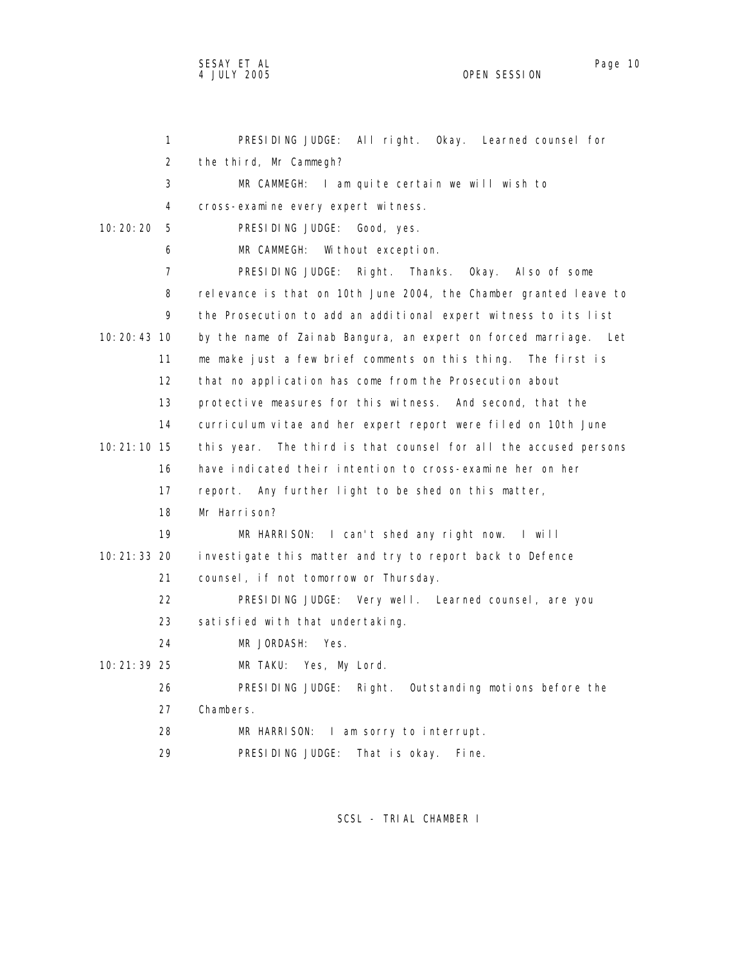| $\mathbf{1}$    | PRESIDING JUDGE: All right. Okay. Learned counsel for               |
|-----------------|---------------------------------------------------------------------|
| 2               | the third, Mr Cammegh?                                              |
| 3               | MR CAMMEGH: I am quite certain we will wish to                      |
| 4               | cross-examine every expert witness.                                 |
| 10: 20: 20<br>5 | PRESIDING JUDGE: Good, yes.                                         |
| 6               | MR CAMMEGH: Without exception.                                      |
| 7               | PRESIDING JUDGE:<br>Right.<br>Thanks. Okay. Also of some            |
| 8               | relevance is that on 10th June 2004, the Chamber granted leave to   |
| 9               | the Prosecution to add an additional expert witness to its list     |
| 10: 20: 43 10   | by the name of Zainab Bangura, an expert on forced marriage. Let    |
| 11              | me make just a few brief comments on this thing. The first is       |
| 12              | that no application has come from the Prosecution about             |
| 13              | protective measures for this witness. And second, that the          |
| 14              | curriculum vitae and her expert report were filed on 10th June      |
| 10: 21: 10 15   | The third is that counsel for all the accused persons<br>this year. |
| 16              | have indicated their intention to cross-examine her on her          |
| 17              | report. Any further light to be shed on this matter,                |
| 18              | Mr Harrison?                                                        |
| 19              | MR HARRISON: I can't shed any right now. I will                     |
| 10: 21: 33 20   | investigate this matter and try to report back to Defence           |
| 21              | counsel, if not tomorrow or Thursday.                               |
| 22              | PRESIDING JUDGE: Very well. Learned counsel, are you                |
| 23              | satisfied with that undertaking.                                    |
| 24              | MR JORDASH: Yes.                                                    |
| 10:21:39 25     | MR TAKU: Yes, My Lord.                                              |
| 26              | PRESIDING JUDGE:<br>Right. Outstanding motions before the           |
| 27              | Chambers.                                                           |
| 28              | MR HARRISON: I am sorry to interrupt.                               |
| 29              | PRESIDING JUDGE:<br>That is okay.<br>Fine.                          |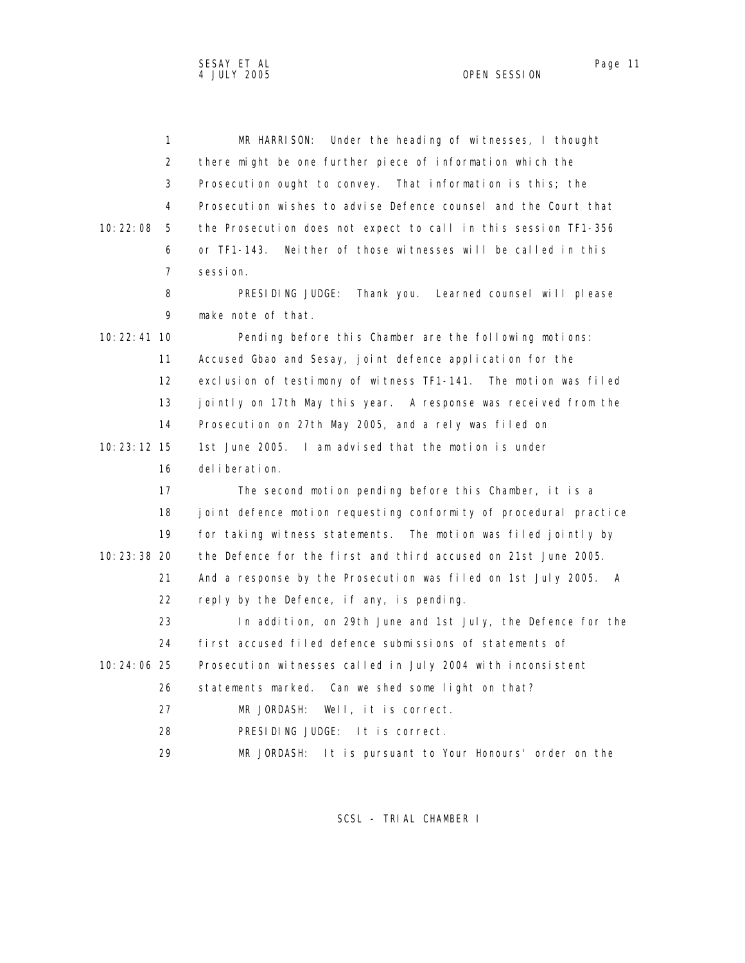|               | 1  | Under the heading of witnesses, I thought<br>MR HARRISON:         |
|---------------|----|-------------------------------------------------------------------|
|               | 2  | there might be one further piece of information which the         |
|               | 3  | Prosecution ought to convey. That information is this; the        |
|               | 4  | Prosecution wishes to advise Defence counsel and the Court that   |
| 10:22:08      | 5  | the Prosecution does not expect to call in this session TF1-356   |
|               | 6  | or TF1-143.<br>Neither of those witnesses will be called in this  |
|               | 7  | sessi on.                                                         |
|               | 8  | PRESIDING JUDGE: Thank you. Learned counsel will please           |
|               | 9  | make note of that.                                                |
| $10:22:41$ 10 |    | Pending before this Chamber are the following motions:            |
|               | 11 | Accused Gbao and Sesay, joint defence application for the         |
|               | 12 | exclusion of testimony of witness TF1-141. The motion was filed   |
|               | 13 | jointly on 17th May this year. A response was received from the   |
|               | 14 | Prosecution on 27th May 2005, and a rely was filed on             |
| 10: 23: 12 15 |    | 1st June 2005. I am advised that the motion is under              |
|               | 16 | del i berati on.                                                  |
|               | 17 | The second motion pending before this Chamber, it is a            |
|               | 18 | joint defence motion requesting conformity of procedural practice |
|               | 19 | for taking witness statements. The motion was filed jointly by    |
| 10: 23: 38 20 |    | the Defence for the first and third accused on 21st June 2005.    |
|               | 21 | And a response by the Prosecution was filed on 1st July 2005. A   |
|               | 22 | reply by the Defence, if any, is pending.                         |
|               | 23 | In addition, on 29th June and 1st July, the Defence for the       |
|               | 24 | first accused filed defence submissions of statements of          |
| 10:24:06 25   |    | Prosecution witnesses called in July 2004 with inconsistent       |
|               | 26 | statements marked. Can we shed some light on that?                |
|               | 27 | Well, it is correct.<br>MR JORDASH:                               |
|               | 28 | PRESIDING JUDGE: It is correct.                                   |
|               | 29 | MR JORDASH:<br>It is pursuant to Your Honours' order on the       |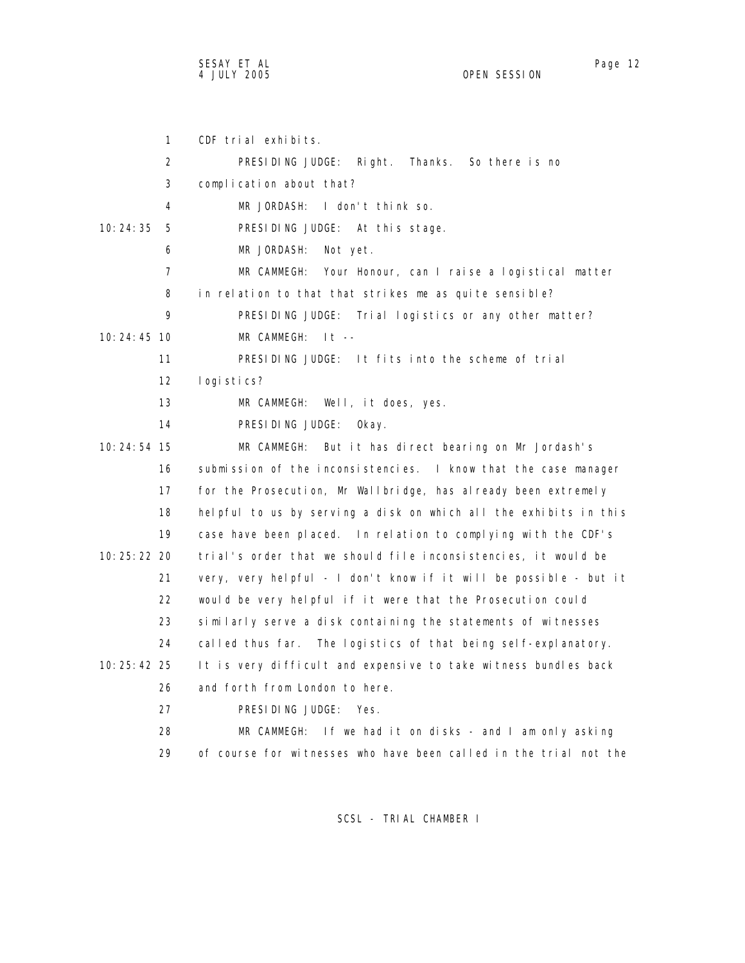SESAY ET AL Page 12

 1 CDF trial exhibits. 2 PRESIDING JUDGE: Right. Thanks. So there is no 3 complication about that? 4 MR JORDASH: I don't think so. 10:24:35 5 PRESIDING JUDGE: At this stage. 6 MR JORDASH: Not yet. 7 MR CAMMEGH: Your Honour, can I raise a logistical matter 8 in relation to that that strikes me as quite sensible? 9 PRESIDING JUDGE: Trial logistics or any other matter? 10:24:45 10 MR CAMMEGH: It -- 11 PRESIDING JUDGE: It fits into the scheme of trial 12 logistics? 13 MR CAMMEGH: Well, it does, yes. 14 PRESIDING JUDGE: Okay. 10:24:54 15 MR CAMMEGH: But it has direct bearing on Mr Jordash's 16 submission of the inconsistencies. I know that the case manager 17 for the Prosecution, Mr Wallbridge, has already been extremely 18 helpful to us by serving a disk on which all the exhibits in this 19 case have been placed. In relation to complying with the CDF's 10:25:22 20 trial's order that we should file inconsistencies, it would be 21 very, very helpful - I don't know if it will be possible - but it 22 would be very helpful if it were that the Prosecution could 23 similarly serve a disk containing the statements of witnesses 24 called thus far. The logistics of that being self-explanatory. 10:25:42 25 It is very difficult and expensive to take witness bundles back 26 and forth from London to here. 27 PRESIDING JUDGE: Yes. 28 MR CAMMEGH: If we had it on disks - and I am only asking 29 of course for witnesses who have been called in the trial not the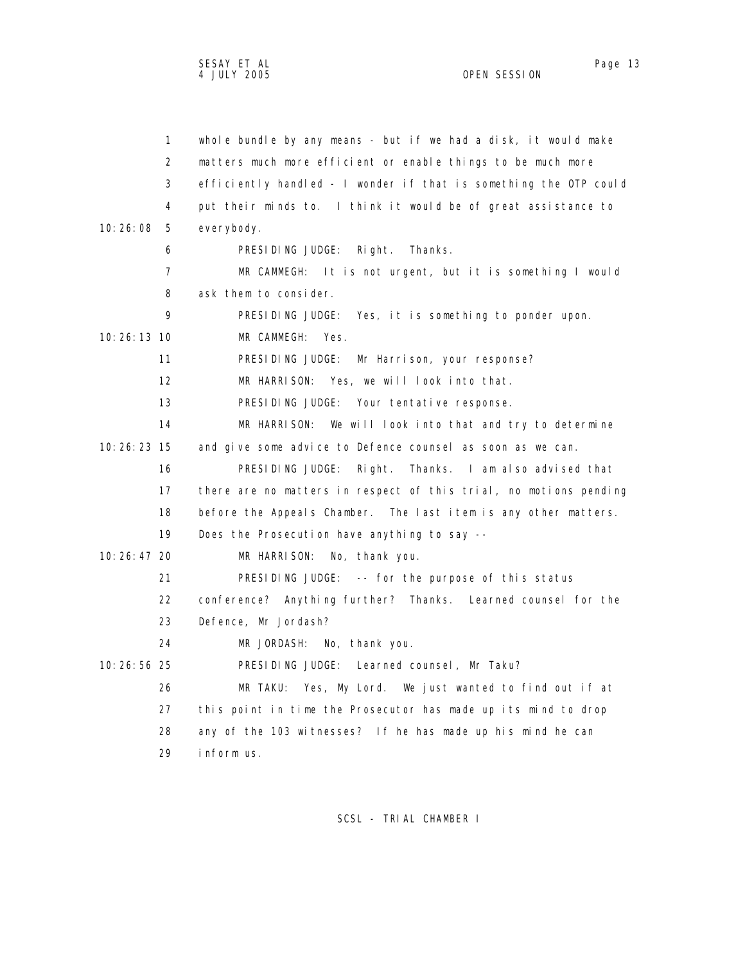|               | $\mathbf{1}$      | whole bundle by any means - but if we had a disk, it would make   |
|---------------|-------------------|-------------------------------------------------------------------|
|               | 2                 | matters much more efficient or enable things to be much more      |
|               | 3                 | efficiently handled - I wonder if that is something the OTP could |
|               | 4                 | put their minds to. I think it would be of great assistance to    |
| 10:26:08      | 5                 | everybody.                                                        |
|               | 6                 | PRESIDING JUDGE:<br>Right.<br>Thanks.                             |
|               | 7                 | MR CAMMEGH: It is not urgent, but it is something I would         |
|               | 8                 | ask them to consider.                                             |
|               | 9                 | PRESIDING JUDGE: Yes, it is something to ponder upon.             |
| $10:26:13$ 10 |                   | MR CAMMEGH: Yes.                                                  |
|               | 11                | PRESIDING JUDGE: Mr Harrison, your response?                      |
|               | $12 \overline{ }$ | MR HARRISON: Yes, we will look into that.                         |
|               | 13                | PRESIDING JUDGE: Your tentative response.                         |
|               | 14                | MR HARRISON:<br>We will look into that and try to determine       |
| 10: 26: 23 15 |                   | and give some advice to Defence counsel as soon as we can.        |
|               | 16                | PRESIDING JUDGE:<br>Thanks. I am also advised that<br>Right.      |
|               | 17                | there are no matters in respect of this trial, no motions pending |
|               | 18                | before the Appeals Chamber. The last item is any other matters.   |
|               | 19                | Does the Prosecution have anything to say --                      |
| 10: 26: 47 20 |                   | MR HARRISON:<br>No, thank you.                                    |
|               | 21                | PRESIDING JUDGE: -- for the purpose of this status                |
|               | 22                | conference? Anything further? Thanks. Learned counsel for the     |
|               | 23                | Defence, Mr Jordash?                                              |
|               | 24                | MR JORDASH:<br>No, thank you.                                     |
| $10:26:56$ 25 |                   | PRESIDING JUDGE: Learned counsel, Mr Taku?                        |
|               | 26                | MR TAKU: Yes, My Lord. We just wanted to find out if at           |
|               | 27                | this point in time the Prosecutor has made up its mind to drop    |
|               | 28                | any of the 103 witnesses? If he has made up his mind he can       |
|               | 29                | inform us.                                                        |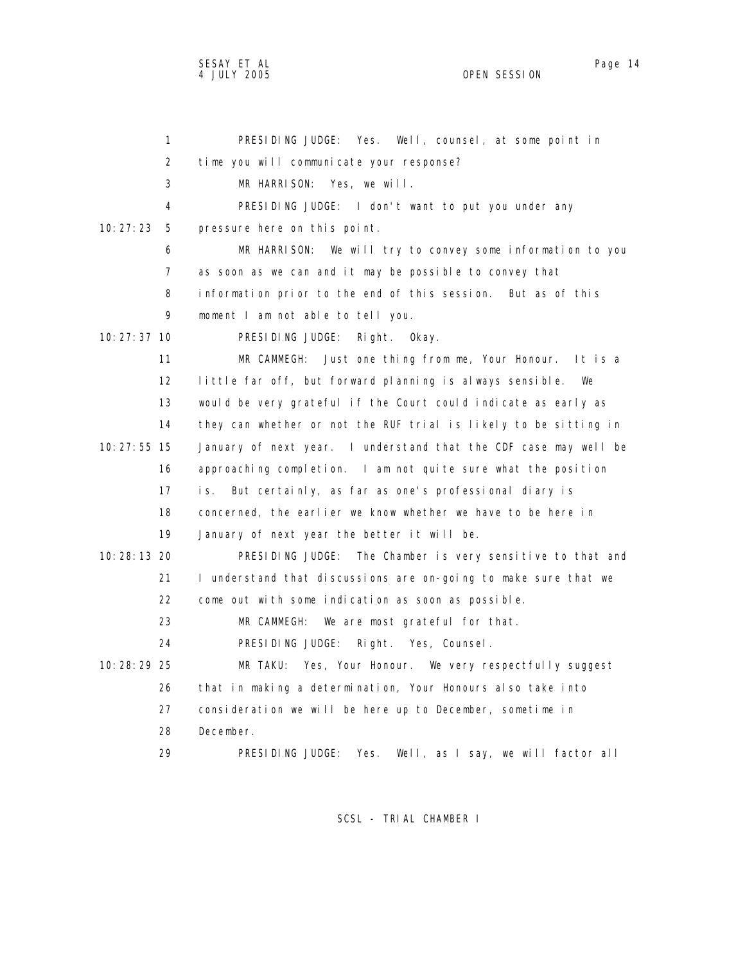SESAY ET AL Page 14

OPEN SESSION

| 1                 | PRESIDING JUDGE: Yes. Well, counsel, at some point in            |
|-------------------|------------------------------------------------------------------|
| 2                 | time you will communicate your response?                         |
| 3                 | MR HARRISON:<br>Yes, we will.                                    |
| 4                 | PRESIDING JUDGE: I don't want to put you under any               |
| 10:27:23<br>5     | pressure here on this point.                                     |
| 6                 | MR HARRISON:<br>We will try to convey some information to you    |
| 7                 | as soon as we can and it may be possible to convey that          |
| 8                 | information prior to the end of this session. But as of this     |
| 9                 | moment I am not able to tell you.                                |
| $10:27:37$ 10     | PRESIDING JUDGE:<br>Right. Okay.                                 |
| 11                | MR CAMMEGH: Just one thing from me, Your Honour. It is a         |
| $12 \overline{ }$ | little far off, but forward planning is always sensible.<br>We   |
| 13                | would be very grateful if the Court could indicate as early as   |
| 14                | they can whether or not the RUF trial is likely to be sitting in |
| 10: 27: 55 15     | January of next year. I understand that the CDF case may well be |
| 16                | approaching completion. I am not quite sure what the position    |
| 17                | But certainly, as far as one's professional diary is<br>i s.     |
| 18                | concerned, the earlier we know whether we have to be here in     |
| 19                | January of next year the better it will be.                      |
| 10: 28: 13 20     | PRESIDING JUDGE: The Chamber is very sensitive to that and       |
| 21                | I understand that discussions are on-going to make sure that we  |
| 22                | come out with some indication as soon as possible.               |
| 23                | MR CAMMEGH:<br>We are most grateful for that.                    |
| 24                | PRESIDING JUDGE:<br>Right. Yes, Counsel.                         |
| 10:28:29 25       | MR TAKU: Yes, Your Honour. We very respectfully suggest          |
| 26                | that in making a determination, Your Honours also take into      |
| 27                | consideration we will be here up to December, sometime in        |
| 28                | December.                                                        |
| 29                | PRESIDING JUDGE:<br>Yes.<br>Well, as I say, we will factor all   |